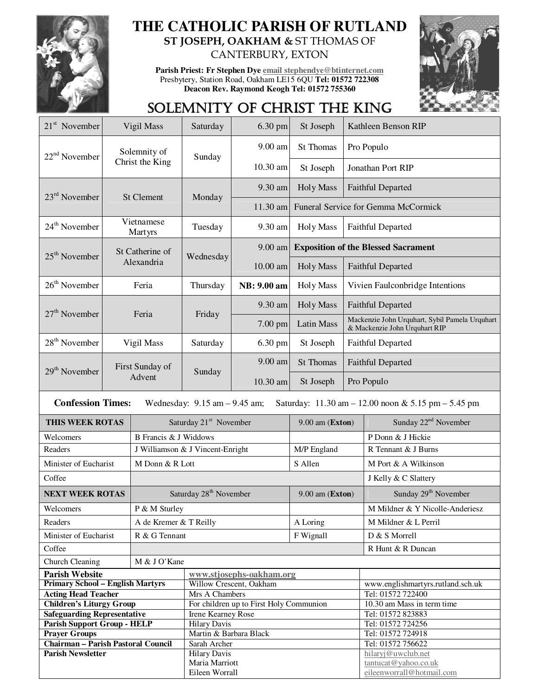

## **THE CATHOLIC PARISH OF RUTLAND ST JOSEPH, OAKHAM &** ST THOMAS OF CANTERBURY, EXTON

**Parish Priest: Fr Stephen Dye email stephendye@btinternet.com** Presbytery, Station Road, Oakham LE15 6QU **Tel: 01572 722308 Deacon Rev. Raymond Keogh Tel: 01572 755360** 



## SOLEMNITY OF CHRIST THE KING

| 21 <sup>st</sup> November                                                                                           | Vigil Mass             |                        | Saturday                                      | 6.30 pm     | St Joseph        | Kathleen Benson RIP                                                             |                                        |  |
|---------------------------------------------------------------------------------------------------------------------|------------------------|------------------------|-----------------------------------------------|-------------|------------------|---------------------------------------------------------------------------------|----------------------------------------|--|
| $22nd$ November                                                                                                     |                        | Solemnity of           | Sunday                                        | 9.00 am     | St Thomas        | Pro Populo                                                                      |                                        |  |
|                                                                                                                     |                        | Christ the King        |                                               | 10.30 am    | St Joseph        | Jonathan Port RIP                                                               |                                        |  |
| $23rd$ November                                                                                                     |                        | <b>St Clement</b>      | Monday                                        | 9.30 am     | <b>Holy Mass</b> | <b>Faithful Departed</b>                                                        |                                        |  |
|                                                                                                                     |                        |                        |                                               | 11.30 am    |                  | Funeral Service for Gemma McCormick                                             |                                        |  |
| 24 <sup>th</sup> November                                                                                           |                        | Vietnamese<br>Martyrs  | Tuesday                                       | 9.30 am     | <b>Holy Mass</b> | <b>Faithful Departed</b>                                                        |                                        |  |
| $25th$ November                                                                                                     |                        | St Catherine of        | Wednesday                                     | $9.00$ am   |                  | <b>Exposition of the Blessed Sacrament</b>                                      |                                        |  |
|                                                                                                                     |                        | Alexandria             |                                               | $10.00$ am  | <b>Holy Mass</b> | <b>Faithful Departed</b>                                                        |                                        |  |
| $26th$ November                                                                                                     | Feria                  |                        | Thursday                                      | NB: 9.00 am | <b>Holy Mass</b> | Vivien Faulconbridge Intentions                                                 |                                        |  |
| $27th$ November                                                                                                     |                        | Feria                  | Friday                                        | 9.30 am     | <b>Holy Mass</b> | <b>Faithful Departed</b>                                                        |                                        |  |
|                                                                                                                     |                        |                        |                                               | $7.00$ pm   | Latin Mass       | Mackenzie John Urquhart, Sybil Pamela Urquhart<br>& Mackenzie John Urquhart RIP |                                        |  |
| $28th$ November                                                                                                     |                        | Vigil Mass             | Saturday                                      | 6.30 pm     | St Joseph        |                                                                                 | <b>Faithful Departed</b>               |  |
| $29th$ November                                                                                                     |                        | First Sunday of        | Sunday                                        | 9.00 am     | <b>St Thomas</b> | <b>Faithful Departed</b>                                                        |                                        |  |
|                                                                                                                     |                        | Advent                 |                                               | 10.30 am    | St Joseph        | Pro Populo                                                                      |                                        |  |
| <b>Confession Times:</b><br>Wednesday: $9.15$ am $-9.45$ am;<br>Saturday: 11.30 am - 12.00 noon & 5.15 pm - 5.45 pm |                        |                        |                                               |             |                  |                                                                                 |                                        |  |
| THIS WEEK ROTAS                                                                                                     |                        |                        | Saturday 21 <sup>st</sup> November            |             | 9.00 am (Exton)  |                                                                                 | Sunday 22 <sup>nd</sup> November       |  |
| Welcomers                                                                                                           |                        | B Francis & J Widdows  |                                               |             |                  |                                                                                 | P Donn & J Hickie                      |  |
| Readers                                                                                                             |                        |                        | J Williamson & J Vincent-Enright              |             | M/P England      |                                                                                 | R Tennant & J Burns                    |  |
|                                                                                                                     | Minister of Eucharist  |                        | M Donn & R Lott                               |             |                  |                                                                                 | M Port & A Wilkinson                   |  |
| Coffee                                                                                                              |                        |                        |                                               |             |                  | J Kelly & C Slattery                                                            |                                        |  |
|                                                                                                                     | <b>NEXT WEEK ROTAS</b> |                        | Saturday 28 <sup>th</sup> November            |             |                  | 9.00 am (Exton)                                                                 | Sunday 29 <sup>th</sup> November       |  |
| Welcomers                                                                                                           |                        | P & M Sturley          |                                               |             |                  |                                                                                 | M Mildner & Y Nicolle-Anderiesz        |  |
| Readers                                                                                                             |                        | A de Kremer & T Reilly |                                               |             | A Loring         |                                                                                 | M Mildner & L Perril                   |  |
| Minister of Eucharist                                                                                               |                        | R & G Tennant          |                                               |             | F Wignall        |                                                                                 | D & S Morrell                          |  |
| Coffee                                                                                                              |                        |                        |                                               |             |                  | R Hunt & R Duncan                                                               |                                        |  |
| Church Cleaning                                                                                                     |                        | M & J O'Kane           |                                               |             |                  |                                                                                 |                                        |  |
| <b>Parish Website</b>                                                                                               |                        |                        | www.stjosephs-oakham.org                      |             |                  |                                                                                 |                                        |  |
| <b>Primary School - English Martyrs</b>                                                                             |                        |                        | Willow Crescent, Oakham                       |             |                  | www.englishmartyrs.rutland.sch.uk                                               |                                        |  |
| <b>Acting Head Teacher</b>                                                                                          |                        |                        | Mrs A Chambers                                |             |                  | Tel: 01572 722400                                                               |                                        |  |
| <b>Children's Liturgy Group</b>                                                                                     |                        |                        | For children up to First Holy Communion       |             |                  | 10.30 am Mass in term time                                                      |                                        |  |
| <b>Safeguarding Representative</b>                                                                                  |                        |                        | Irene Kearney Rose                            |             |                  |                                                                                 | Tel: 01572 823883                      |  |
| <b>Parish Support Group - HELP</b><br><b>Prayer Groups</b>                                                          |                        |                        | <b>Hilary Davis</b><br>Martin & Barbara Black |             |                  |                                                                                 | Tel: 01572 724256<br>Tel: 01572 724918 |  |
| <b>Chairman - Parish Pastoral Council</b>                                                                           |                        |                        | Sarah Archer                                  |             |                  |                                                                                 | Tel: 01572 756622                      |  |
| <b>Parish Newsletter</b>                                                                                            |                        |                        | <b>Hilary Davis</b>                           |             |                  |                                                                                 | hilaryj@uwclub.net                     |  |
|                                                                                                                     |                        |                        | Maria Marriott                                |             |                  |                                                                                 | tantucat@yahoo.co.uk                   |  |
|                                                                                                                     |                        |                        | Eileen Worrall                                |             |                  | eileenworrall@hotmail.com                                                       |                                        |  |